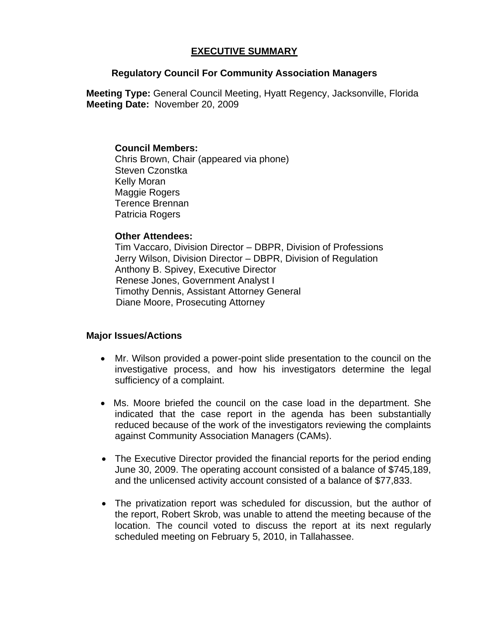## **EXECUTIVE SUMMARY**

### **Regulatory Council For Community Association Managers**

**Meeting Type:** General Council Meeting, Hyatt Regency, Jacksonville, Florida  **Meeting Date:** November 20, 2009

### **Council Members:**

Chris Brown, Chair (appeared via phone) Steven Czonstka Kelly Moran Maggie Rogers Terence Brennan Patricia Rogers

### **Other Attendees:**

Tim Vaccaro, Division Director – DBPR, Division of Professions Jerry Wilson, Division Director – DBPR, Division of Regulation Anthony B. Spivey, Executive Director Renese Jones, Government Analyst I Timothy Dennis, Assistant Attorney General Diane Moore, Prosecuting Attorney

# **Major Issues/Actions**

- Mr. Wilson provided a power-point slide presentation to the council on the investigative process, and how his investigators determine the legal sufficiency of a complaint.
- Ms. Moore briefed the council on the case load in the department. She indicated that the case report in the agenda has been substantially reduced because of the work of the investigators reviewing the complaints against Community Association Managers (CAMs).
- The Executive Director provided the financial reports for the period ending June 30, 2009. The operating account consisted of a balance of \$745,189, and the unlicensed activity account consisted of a balance of \$77,833.
- The privatization report was scheduled for discussion, but the author of the report, Robert Skrob, was unable to attend the meeting because of the location. The council voted to discuss the report at its next regularly scheduled meeting on February 5, 2010, in Tallahassee.